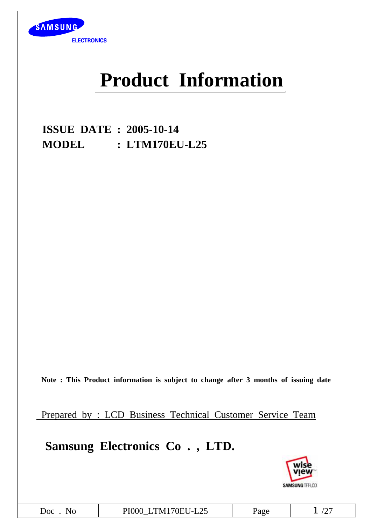

# **Product Information**

**ISSUE DATE : 2005-10-14 MODEL : LTM170EU-L25**

**Note : This Product information is subject to change after 3 months of issuing date**

Prepared by : LCD Business Technical Customer Service Team

# **Samsung Electronics Co . , LTD.**

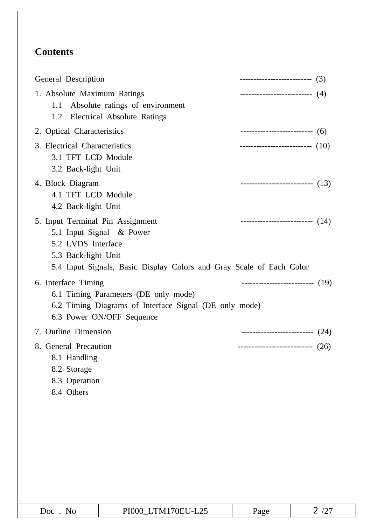# **Contents**

| General Description                                                                 |                                                                                                                             | --------------------------- (3)      |      |
|-------------------------------------------------------------------------------------|-----------------------------------------------------------------------------------------------------------------------------|--------------------------------------|------|
| 1. Absolute Maximum Ratings<br>1.2                                                  | 1.1 Absolute ratings of environment<br>Electrical Absolute Ratings                                                          | --------------------------- (4)      |      |
| 2. Optical Characteristics                                                          |                                                                                                                             |                                      |      |
| 3. Electrical Characteristics<br>3.1 TFT LCD Module<br>3.2 Back-light Unit          |                                                                                                                             | --------------------------- $(10)$   |      |
| 4. Block Diagram<br>4.1 TFT LCD Module<br>4.2 Back-light Unit                       |                                                                                                                             | ----------------------------- $(13)$ |      |
| 5. Input Terminal Pin Assignment<br>5.2 LVDS Interface<br>5.3 Back-light Unit       | 5.1 Input Signal & Power<br>5.4 Input Signals, Basic Display Colors and Gray Scale of Each Color                            | ---------------------------- $(14)$  |      |
| 6. Interface Timing                                                                 | 6.1 Timing Parameters (DE only mode)<br>6.2 Timing Diagrams of Interface Signal (DE only mode)<br>6.3 Power ON/OFF Sequence | ---------------------------- $(19)$  |      |
| 7. Outline Dimension                                                                |                                                                                                                             | ---------------------------(24)      |      |
| 8. General Precaution<br>8.1 Handling<br>8.2 Storage<br>8.3 Operation<br>8.4 Others |                                                                                                                             | ----------------------------(26)     |      |
| Doc. No                                                                             | PI000_LTM170EU-L25                                                                                                          | Page                                 | 2/27 |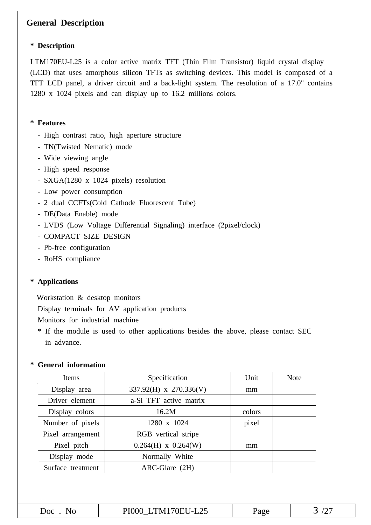# **General Description**

#### **\* Description**

LTM170EU-L25 is a color active matrix TFT (Thin Film Transistor) liquid crystal display (LCD) that uses amorphous silicon TFTs as switching devices. This model is composed of a TFT LCD panel, a driver circuit and a back-light system. The resolution of a 17.0" contains 1280 x 1024 pixels and can display up to 16.2 millions colors.

#### **\* Features**

- High contrast ratio, high aperture structure
- TN(Twisted Nematic) mode
- Wide viewing angle
- High speed response
- SXGA(1280 x 1024 pixels) resolution
- Low power consumption
- 2 dual CCFTs(Cold Cathode Fluorescent Tube)
- DE(Data Enable) mode
- LVDS (Low Voltage Differential Signaling) interface (2pixel/clock)
- COMPACT SIZE DESIGN
- Pb-free configuration
- RoHS compliance

#### **\* Applications**

Workstation & desktop monitors

Display terminals for AV application products

Monitors for industrial machine

\* If the module is used to other applications besides the above, please contact SEC in advance.

#### **\* General information**

| Specification           | Unit   | <b>Note</b> |
|-------------------------|--------|-------------|
| 337.92(H) x 270.336(V)  | mm     |             |
| a-Si TFT active matrix  |        |             |
| 16.2M                   | colors |             |
| 1280 x 1024             | pixel  |             |
| RGB vertical stripe     |        |             |
| $0.264(H)$ x $0.264(W)$ | mm     |             |
| Normally White          |        |             |
| ARC-Glare (2H)          |        |             |
|                         |        |             |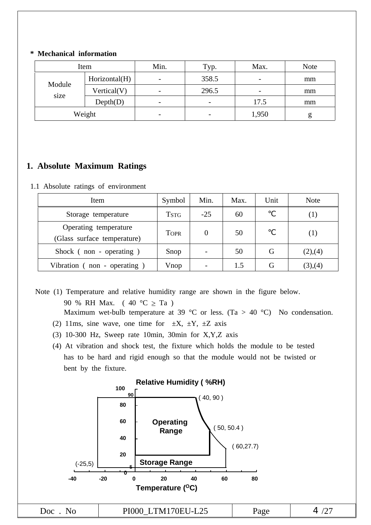#### **\* Mechanical information**

| Item   |               | Min.                     | Typ.                     | Max.  | <b>Note</b> |
|--------|---------------|--------------------------|--------------------------|-------|-------------|
| Module | Horizontal(H) |                          | 358.5                    |       | mm          |
| size   | Vertical(V)   |                          | 296.5                    |       | mm          |
|        | Depth(D)      | $\overline{\phantom{0}}$ | $\overline{\phantom{0}}$ | 17.5  | mm          |
|        | Weight        | $\overline{\phantom{0}}$ | -                        | 1,950 | g           |

### **1. Absolute Maximum Ratings**

1.1 Absolute ratings of environment

| Item                                                 | Symbol      | Min.  | Max. | Unit | <b>Note</b> |
|------------------------------------------------------|-------------|-------|------|------|-------------|
| Storage temperature                                  | <b>TSTG</b> | $-25$ | 60   |      | ( 1 )       |
| Operating temperature<br>(Glass surface temperature) | <b>TOPR</b> |       | 50   |      | (1)         |
| Shock (non - operating)                              | Snop        |       | 50   | G    | (2),(4)     |
| Vibration (non - operating)                          | Vnop        |       | 1.5  | G    | (3),(4)     |

- Note (1) Temperature and relative humidity range are shown in the figure below. 90 % RH Max. (  $40 °C \geq Ta$  ) Maximum wet-bulb temperature at 39 °C or less. (Ta > 40 °C) No condensation.
	- (2) 11ms, sine wave, one time for  $\pm X$ ,  $\pm Y$ ,  $\pm Z$  axis
	- (3) 10-300 Hz, Sweep rate 10min, 30min for X,Y,Z axis
	- (4) At vibration and shock test, the fixture which holds the module to be tested has to be hard and rigid enough so that the module would not be twisted or bent by the fixture.

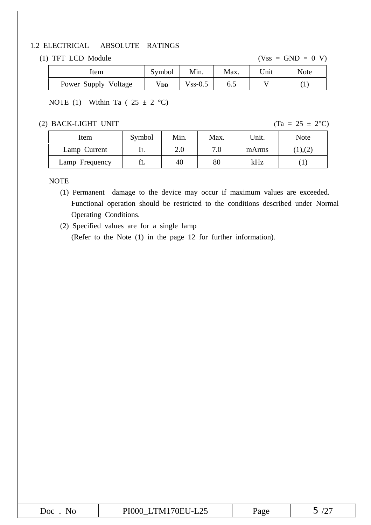### 1.2 ELECTRICAL ABSOLUTE RATINGS

#### (1) TFT LCD Module  $(Vss = GND = 0 V)$

| Item                 | Symbol   | Min.      | Max. | Unit | <b>Note</b> |
|----------------------|----------|-----------|------|------|-------------|
| Power Supply Voltage | $V_{DD}$ | $Vss-0.5$ | ნ.პ  |      |             |

### NOTE (1) Within Ta (  $25 \pm 2$  °C)

#### (2) BACK-LIGHT UNIT (Ta =  $25 \pm 2$ °C)

| Item           | Symbol | Min. | Max. | Unit. | Note   |
|----------------|--------|------|------|-------|--------|
| Lamp Current   |        | 2.0  | 7.0  | mArms | ), (2) |
| Lamp Frequency |        | 40   | 80   | kHz   |        |

NOTE

(1) Permanent damage to the device may occur if maximum values are exceeded. Functional operation should be restricted to the conditions described under Normal Operating Conditions.

(2) Specified values are for a single lamp (Refer to the Note (1) in the page 12 for further information).

| பட<br>70EU<br>'NI<br>N.<br>--<br>oc<br>aoe<br>∽<br>ب ∠∟−ا י<br>∼<br><b>LATILLE</b> |
|------------------------------------------------------------------------------------|
|------------------------------------------------------------------------------------|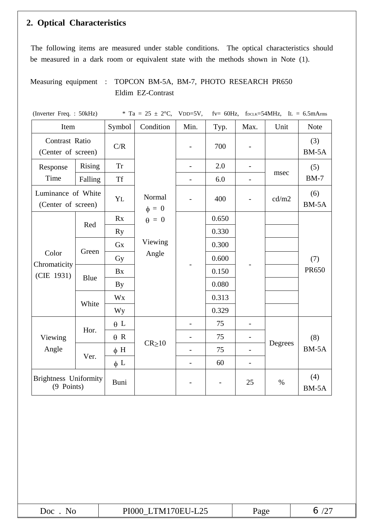# **2. Optical Characteristics**

The following items are measured under stable conditions. The optical characteristics should be measured in a dark room or equivalent state with the methods shown in Note (1).

# Measuring equipment : TOPCON BM-5A, BM-7, PHOTO RESEARCH PR650 Eldim EZ-Contrast

| (Inverter Freq.: 50kHz)                    |                                              |            | * Ta = 25 $\pm$ 2°C, | $VDD=5V,$                |       |                          | fv= 60Hz, $f_{DCLK}$ =54MHz, IL = 6.5mArms |              |  |     |
|--------------------------------------------|----------------------------------------------|------------|----------------------|--------------------------|-------|--------------------------|--------------------------------------------|--------------|--|-----|
| Item                                       |                                              | Symbol     | Condition            | Min.                     | Typ.  | Max.                     | Unit                                       | <b>Note</b>  |  |     |
| Contrast Ratio<br>(Center of screen)       |                                              | C/R        |                      |                          | 700   |                          |                                            | (3)<br>BM-5A |  |     |
| Response                                   | Rising                                       | <b>Tr</b>  |                      | $\overline{\phantom{0}}$ | 2.0   | $\overline{\phantom{a}}$ |                                            | (5)          |  |     |
| Time                                       | Falling                                      | <b>Tf</b>  |                      |                          | 6.0   | $\qquad \qquad -$        | msec                                       | $BM-7$       |  |     |
| Luminance of White<br>(Center of screen)   |                                              | YL         | Normal<br>$\phi = 0$ |                          | 400   | $\overline{\phantom{0}}$ | cd/m2                                      | (6)<br>BM-5A |  |     |
|                                            | Red                                          | Rx         | $\theta = 0$         |                          | 0.650 |                          |                                            |              |  |     |
|                                            |                                              | <b>Ry</b>  |                      |                          | 0.330 |                          |                                            |              |  |     |
|                                            | Green                                        | Gx         | Viewing              |                          | 0.300 |                          |                                            |              |  |     |
| Color<br>Chromaticity                      |                                              | Gy         | Angle                |                          |       |                          | 0.600                                      |              |  | (7) |
| (CIE 1931)                                 | Blue                                         | Bx         |                      |                          | 0.150 |                          |                                            | <b>PR650</b> |  |     |
|                                            |                                              | <b>By</b>  |                      |                          | 0.080 |                          |                                            |              |  |     |
|                                            | White                                        | Wx         |                      |                          | 0.313 |                          |                                            |              |  |     |
|                                            |                                              | Wy         |                      |                          | 0.329 |                          |                                            |              |  |     |
|                                            | Hor.                                         | $\theta$ L |                      |                          | 75    | $\overline{\phantom{0}}$ |                                            |              |  |     |
| Viewing                                    |                                              | $\theta$ R | $CR \ge 10$          |                          | 75    |                          |                                            | (8)          |  |     |
| Angle                                      |                                              | $\phi$ H   |                      |                          | 75    | $\overline{\phantom{a}}$ | Degrees                                    | BM-5A        |  |     |
|                                            | Ver.<br>$\phi$ L<br>$\overline{\phantom{0}}$ |            | 60                   | $\overline{\phantom{a}}$ |       |                          |                                            |              |  |     |
| <b>Brightness Uniformity</b><br>(9 Points) |                                              | Buni       |                      |                          |       | 25                       | $\%$                                       | (4)<br>BM-5A |  |     |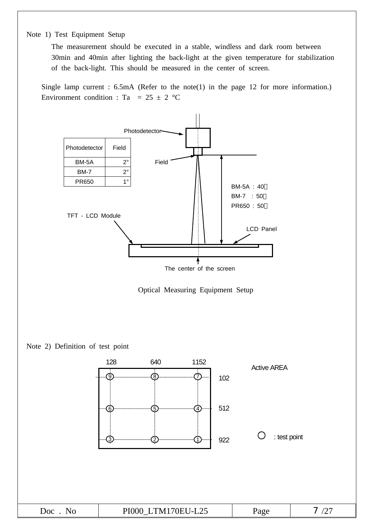#### Note 1) Test Equipment Setup

The measurement should be executed in a stable, windless and dark room between 30min and 40min after lighting the back-light at the given temperature for stabilization of the back-light. This should be measured in the center of screen.

Single lamp current : 6.5mA (Refer to the note(1) in the page 12 for more information.) Environment condition : Ta =  $25 \pm 2$  °C





Note 2) Definition of test point

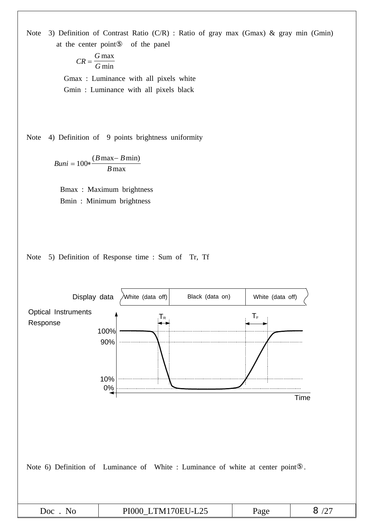Note 3) Definition of Contrast Ratio (C/R) : Ratio of gray max (Gmax) & gray min (Gmin) at the center point of the panel

$$
CR = \frac{G \max}{G \min}
$$

Gmax : Luminance with all pixels white Gmin : Luminance with all pixels black

Note 4) Definition of 9 points brightness uniformity

*Buni*  $B$  max –  $B$ *B*  $= 100 * \frac{(B \max - B \min)}{D}$ max

Bmax : Maximum brightness Bmin : Minimum brightness



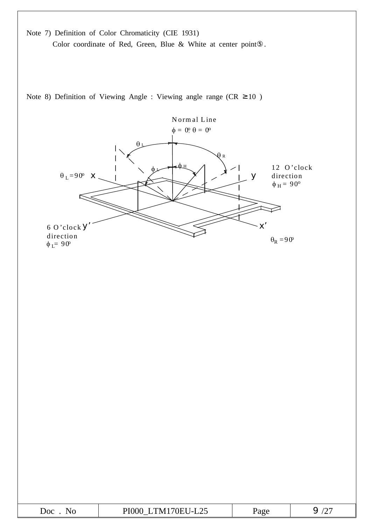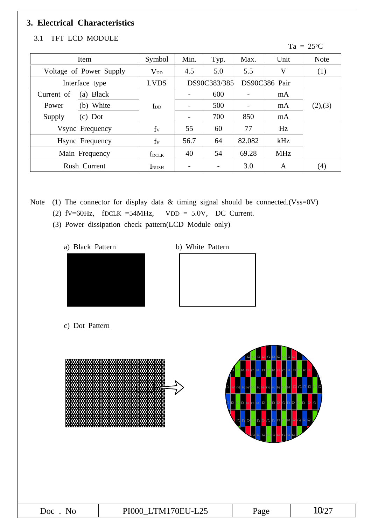# **3. Electrical Characteristics**

# 3.1 TFT LCD MODULE

#### $Ta = 25^{\circ}C$

|            | Item                    | Symbol                 | Min. | Typ.         | Max.   | Unit          | <b>Note</b> |
|------------|-------------------------|------------------------|------|--------------|--------|---------------|-------------|
|            | Voltage of Power Supply | <b>V</b> <sub>DD</sub> | 4.5  | 5.0          | 5.5    | V             | (1)         |
|            | Interface type          | <b>LVDS</b>            |      | DS90C383/385 |        | DS90C386 Pair |             |
| Current of | <b>Black</b><br>(a)     |                        |      | 600          |        | mA            |             |
| Power      | (b) White               | $I_{DD}$               |      | 500          |        | mA            | (2),(3)     |
| Supply     | Dot<br>(c)              |                        |      | 700          | 850    | mA            |             |
|            | Vsync Frequency         | $f_V$                  | 55   | 60           | 77     | Hz            |             |
|            | Hsync Frequency         | $f_H$                  | 56.7 | 64           | 82.082 | kHz           |             |
|            | Main Frequency          | $f_{DCLK}$             | 40   | 54           | 69.28  | <b>MHz</b>    |             |
|            | Rush Current            | <b>I</b> RUSH          |      |              | 3.0    | A             | (4)         |

Note (1) The connector for display data & timing signal should be connected.(Vss=0V) (2)  $fV=60Hz$ ,  $fDCLK =54MHz$ ,  $VDD = 5.0V$ , DC Current.

- (3) Power dissipation check pattern(LCD Module only)
	-
	- a) Black Pattern b) White Pattern



c) Dot Pattern

|         |                    | Ř<br>$\Omega$<br>Þ<br>R<br>RR<br>R<br>$\mathsf{I}$<br>$R$ $R$ $R$<br>R R<br>$\mathsf{P}$<br>RR C R<br>$\mathbb{R}$<br>D<br><b>RR</b><br>$ {\mathsf R} $<br>ÞI<br>′ା<br>GRR<br><b>C</b><br>$R$ R<br>R R<br><b>RR</b><br><b>C</b><br>Q.<br>$\mathbb{R}$<br>R<br>Þ<br>$\Gamma$<br>D<br><b>R</b><br>R R<br>$\overline{R}$<br>IG.<br>₽I<br><b>RR</b><br>G<br>$\overline{D}$<br>$\Box$<br>D<br>$\mathsf{D}$<br>Þ | R<br>Þ.<br>CIRR<br>IR<br>RC<br>R<br>RQR<br>IR |
|---------|--------------------|------------------------------------------------------------------------------------------------------------------------------------------------------------------------------------------------------------------------------------------------------------------------------------------------------------------------------------------------------------------------------------------------------------|-----------------------------------------------|
| Doc. No | PI000 LTM170EU-L25 | Page                                                                                                                                                                                                                                                                                                                                                                                                       | 1027                                          |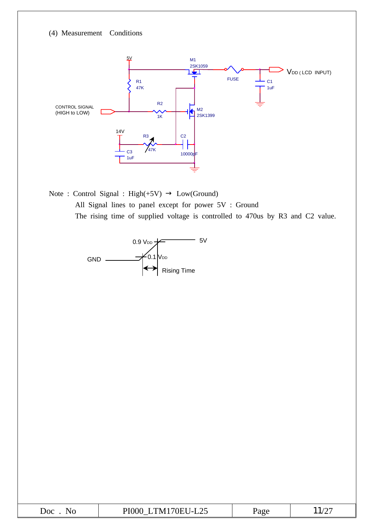(4) Measurement Conditions



Note : Control Signal : High(+5V) Low(Ground) All Signal lines to panel except for power 5V : Ground The rising time of supplied voltage is controlled to 470us by R3 and C2 value.



| Doc | TM170EU-L25 | 'age | — — — / 1 |
|-----|-------------|------|-----------|
| NO  | PI000       |      | . سه      |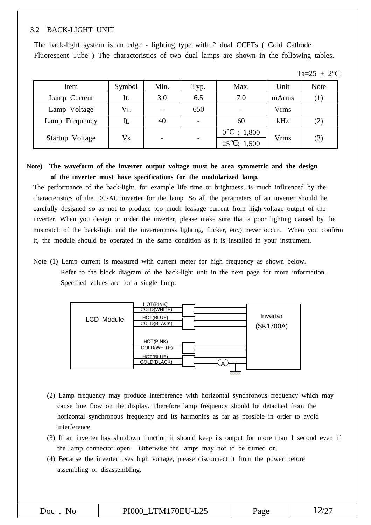#### 3.2 BACK-LIGHT UNIT

The back-light system is an edge - lighting type with 2 dual CCFTs ( Cold Cathode Fluorescent Tube ) The characteristics of two dual lamps are shown in the following tables.

|  | $\cap$ or $\cdot$ |
|--|-------------------|
|--|-------------------|

| Item            | Symbol         | Min.                     | Typ.                     | Max.                     | Unit  | <b>Note</b>       |  |
|-----------------|----------------|--------------------------|--------------------------|--------------------------|-------|-------------------|--|
| Lamp Current    | IL             | 3.0                      | 6.5                      | 7.0                      | mArms | $\left( 1\right)$ |  |
| Lamp Voltage    | $\rm{V}$ L     |                          | 650                      | $\overline{\phantom{0}}$ | Vrms  |                   |  |
| Lamp Frequency  | fl             | 40                       | $\overline{\phantom{a}}$ | 60                       | kHz   | (2)               |  |
|                 |                |                          |                          | : 1,800                  |       |                   |  |
| Startup Voltage | V <sub>S</sub> | $\overline{\phantom{0}}$ | $\overline{\phantom{a}}$ | : 1,500<br>25            | Vrms  | (3)               |  |

#### **Note) The waveform of the inverter output voltage must be area symmetric and the design of the inverter must have specifications for the modularized lamp.**

The performance of the back-light, for example life time or brightness, is much influenced by the characteristics of the DC-AC inverter for the lamp. So all the parameters of an inverter should be carefully designed so as not to produce too much leakage current from high-voltage output of the inverter. When you design or order the inverter, please make sure that a poor lighting caused by the mismatch of the back-light and the inverter(miss lighting, flicker, etc.) never occur. When you confirm it, the module should be operated in the same condition as it is installed in your instrument.

Note (1) Lamp current is measured with current meter for high frequency as shown below. Refer to the block diagram of the back-light unit in the next page for more information. Specified values are for a single lamp.



- (2) Lamp frequency may produce interference with horizontal synchronous frequency which may cause line flow on the display. Therefore lamp frequency should be detached from the horizontal synchronous frequency and its harmonics as far as possible in order to avoid interference.
- (3) If an inverter has shutdown function it should keep its output for more than 1 second even if the lamp connector open. Otherwise the lamps may not to be turned on.
- (4) Because the inverter uses high voltage, please disconnect it from the power before assembling or disassembling.

| $\overline{C}$<br>Nο | PI000 LTM170EU-L25 | Page | $12/2^{-}$ |
|----------------------|--------------------|------|------------|
|                      |                    |      |            |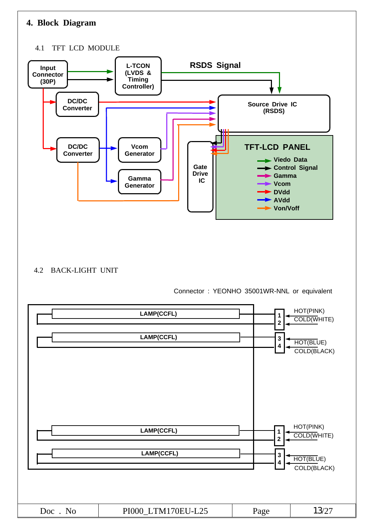# **4. Block Diagram**

#### 4.1 TFT LCD MODULE



#### 4.2 BACK-LIGHT UNIT

Connector : YEONHO 35001WR-NNL or equivalent

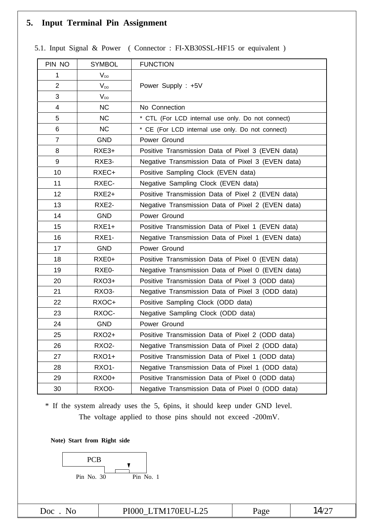# **5. Input Terminal Pin Assignment**

| PIN NO         | <b>SYMBOL</b>     | <b>FUNCTION</b>                                   |
|----------------|-------------------|---------------------------------------------------|
| 1              | $V_{DD}$          |                                                   |
| $\overline{2}$ | $V_{DD}$          | Power Supply: +5V                                 |
| 3              | $V_{DD}$          |                                                   |
| 4              | <b>NC</b>         | No Connection                                     |
| 5              | <b>NC</b>         | * CTL (For LCD internal use only. Do not connect) |
| 6              | <b>NC</b>         | * CE (For LCD internal use only. Do not connect)  |
| $\overline{7}$ | <b>GND</b>        | Power Ground                                      |
| 8              | RXE3+             | Positive Transmission Data of Pixel 3 (EVEN data) |
| 9              | RXE3-             | Negative Transmission Data of Pixel 3 (EVEN data) |
| 10             | RXEC+             | Positive Sampling Clock (EVEN data)               |
| 11             | RXEC-             | Negative Sampling Clock (EVEN data)               |
| 12             | RXE <sub>2+</sub> | Positive Transmission Data of Pixel 2 (EVEN data) |
| 13             | RXE2-             | Negative Transmission Data of Pixel 2 (EVEN data) |
| 14             | <b>GND</b>        | Power Ground                                      |
| 15             | $RXE1+$           | Positive Transmission Data of Pixel 1 (EVEN data) |
| 16             | RXE1-             | Negative Transmission Data of Pixel 1 (EVEN data) |
| 17             | <b>GND</b>        | Power Ground                                      |
| 18             | RXE0+             | Positive Transmission Data of Pixel 0 (EVEN data) |
| 19             | RXE0-             | Negative Transmission Data of Pixel 0 (EVEN data) |
| 20             | <b>RXO3+</b>      | Positive Transmission Data of Pixel 3 (ODD data)  |
| 21             | RXO3-             | Negative Transmission Data of Pixel 3 (ODD data)  |
| 22             | RXOC+             | Positive Sampling Clock (ODD data)                |
| 23             | RXOC-             | Negative Sampling Clock (ODD data)                |
| 24             | <b>GND</b>        | Power Ground                                      |
| 25             | RXO2+             | Positive Transmission Data of Pixel 2 (ODD data)  |
| 26             | <b>RXO2-</b>      | Negative Transmission Data of Pixel 2 (ODD data)  |
| 27             | <b>RXO1+</b>      | Positive Transmission Data of Pixel 1 (ODD data)  |
| 28             | RXO1-             | Negative Transmission Data of Pixel 1 (ODD data)  |
| 29             | <b>RXO0+</b>      | Positive Transmission Data of Pixel 0 (ODD data)  |
| 30             | RXO0-             | Negative Transmission Data of Pixel 0 (ODD data)  |

5.1. Input Signal & Power ( Connector : FI-XB30SSL-HF15 or equivalent )

\* If the system already uses the 5, 6pins, it should keep under GND level. The voltage applied to those pins should not exceed -200mV.

**Note) Start from Right side**

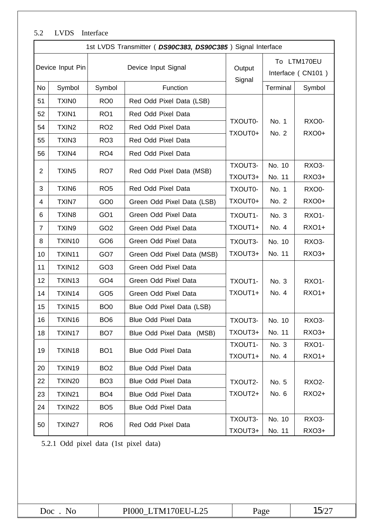# 5.2 LVDS Interface

|                | 1st LVDS Transmitter ( DS90C383, DS90C385) Signal Interface |                 |                            |                    |                                  |                |  |  |  |  |  |
|----------------|-------------------------------------------------------------|-----------------|----------------------------|--------------------|----------------------------------|----------------|--|--|--|--|--|
|                | Device Input Pin                                            |                 | Device Input Signal        | Output<br>Signal   | To LTM170EU<br>Interface (CN101) |                |  |  |  |  |  |
| <b>No</b>      | Symbol                                                      | Symbol          | Function                   |                    | Terminal                         | Symbol         |  |  |  |  |  |
| 51             | <b>TXINO</b>                                                | RO <sub>0</sub> | Red Odd Pixel Data (LSB)   |                    |                                  |                |  |  |  |  |  |
| 52             | TXIN1                                                       | RO <sub>1</sub> | Red Odd Pixel Data         |                    |                                  |                |  |  |  |  |  |
| 54             | TXIN <sub>2</sub>                                           | RO <sub>2</sub> | Red Odd Pixel Data         | TXOUT0-<br>TXOUT0+ | No. 1<br>No. 2                   | RXO0-<br>RXO0+ |  |  |  |  |  |
| 55             | TXIN3                                                       | RO <sub>3</sub> | Red Odd Pixel Data         |                    |                                  |                |  |  |  |  |  |
| 56             | TXIN4                                                       | RO <sub>4</sub> | Red Odd Pixel Data         |                    |                                  |                |  |  |  |  |  |
| $\overline{2}$ | TXIN <sub>5</sub>                                           | RO <sub>7</sub> | Red Odd Pixel Data (MSB)   | TXOUT3-            | No. 10                           | RXO3-          |  |  |  |  |  |
|                |                                                             |                 |                            | TXOUT3+            | No. 11                           | RXO3+          |  |  |  |  |  |
| 3              | TXIN <sub>6</sub>                                           | RO <sub>5</sub> | Red Odd Pixel Data         | TXOUT0-            | No. 1                            | RXO0-          |  |  |  |  |  |
| 4              | <b>TXIN7</b>                                                | GO <sub>0</sub> | Green Odd Pixel Data (LSB) | TXOUT0+            | No. 2                            | <b>RXO0+</b>   |  |  |  |  |  |
| 6              | TXIN <sub>8</sub>                                           | GO <sub>1</sub> | Green Odd Pixel Data       | TXOUT1-            | No. 3                            | RXO1-          |  |  |  |  |  |
| $\overline{7}$ | TXIN9                                                       | GO <sub>2</sub> | Green Odd Pixel Data       | TXOUT1+            | No. 4                            | <b>RXO1+</b>   |  |  |  |  |  |
| 8              | TXIN10                                                      | GO <sub>6</sub> | Green Odd Pixel Data       | TXOUT3-            | No. 10                           | RXO3-          |  |  |  |  |  |
| 10             | TXIN11                                                      | GO7             | Green Odd Pixel Data (MSB) | TXOUT3+            | No. 11                           | RXO3+          |  |  |  |  |  |
| 11             | TXIN12                                                      | GO <sub>3</sub> | Green Odd Pixel Data       |                    |                                  |                |  |  |  |  |  |
| 12             | TXIN13                                                      | GO <sub>4</sub> | Green Odd Pixel Data       | TXOUT1-            | No. 3                            | RXO1-          |  |  |  |  |  |
| 14             | TXIN14                                                      | GO <sub>5</sub> | Green Odd Pixel Data       | TXOUT1+            | No. 4                            | <b>RXO1+</b>   |  |  |  |  |  |
| 15             | TXIN15                                                      | BO <sub>0</sub> | Blue Odd Pixel Data (LSB)  |                    |                                  |                |  |  |  |  |  |
| 16             | TXIN16                                                      | BO <sub>6</sub> | Blue Odd Pixel Data        | TXOUT3-            | No. 10                           | RXO3-          |  |  |  |  |  |
| 18             | TXIN17                                                      | BO <sub>7</sub> | Blue Odd Pixel Data (MSB)  | TXOUT3+            | No. 11                           | RXO3+          |  |  |  |  |  |
| 19             | TXIN18                                                      | BO <sub>1</sub> | Blue Odd Pixel Data        | TXOUT1-            | No. 3                            | <b>RXO1-</b>   |  |  |  |  |  |
|                |                                                             |                 |                            | TXOUT1+            | No. 4                            | <b>RXO1+</b>   |  |  |  |  |  |
| 20             | TXIN19                                                      | BO <sub>2</sub> | Blue Odd Pixel Data        |                    |                                  |                |  |  |  |  |  |
| 22             | TXIN20                                                      | BO <sub>3</sub> | <b>Blue Odd Pixel Data</b> | TXOUT2-            | No. 5                            | <b>RXO2-</b>   |  |  |  |  |  |
| 23             | TXIN21                                                      | BO <sub>4</sub> | <b>Blue Odd Pixel Data</b> | TXOUT2+            | No. 6                            | RXO2+          |  |  |  |  |  |
| 24             | TXIN22                                                      | BO <sub>5</sub> | <b>Blue Odd Pixel Data</b> |                    |                                  |                |  |  |  |  |  |
| 50             | TXIN27                                                      | RO <sub>6</sub> | Red Odd Pixel Data         | TXOUT3-            | No. 10                           | RXO3-          |  |  |  |  |  |
|                |                                                             |                 |                            | TXOUT3+            | No. 11                           | RXO3+          |  |  |  |  |  |

5.2.1 Odd pixel data (1st pixel data)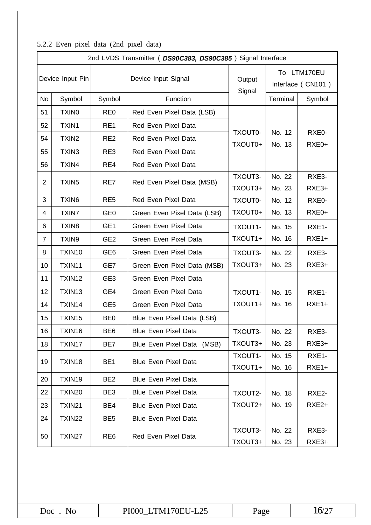| $\sum_{i=1}^{n}$ $\sum_{i=1}^{n}$ $\sum_{i=1}^{n}$ $\sum_{i=1}^{n}$ $\sum_{i=1}^{n}$ $\sum_{i=1}^{n}$ $\sum_{i=1}^{n}$ | 2nd LVDS Transmitter (DS90C383, DS90C385) Signal Interface |                 |                             |                    |                                  |                   |  |  |  |  |  |
|------------------------------------------------------------------------------------------------------------------------|------------------------------------------------------------|-----------------|-----------------------------|--------------------|----------------------------------|-------------------|--|--|--|--|--|
| Device Input Pin                                                                                                       |                                                            |                 | Device Input Signal         | Output<br>Signal   | To LTM170EU<br>Interface (CN101) |                   |  |  |  |  |  |
| No                                                                                                                     | Symbol                                                     | Symbol          | Function                    |                    | Terminal                         | Symbol            |  |  |  |  |  |
| 51                                                                                                                     | <b>TXINO</b>                                               | RE <sub>0</sub> | Red Even Pixel Data (LSB)   |                    |                                  |                   |  |  |  |  |  |
| 52                                                                                                                     | TXIN1                                                      | RE1             | Red Even Pixel Data         |                    |                                  |                   |  |  |  |  |  |
| 54                                                                                                                     | TXIN <sub>2</sub>                                          | RE <sub>2</sub> | Red Even Pixel Data         | TXOUT0-<br>TXOUT0+ | No. 12<br>No. 13                 | RXE0-<br>RXE0+    |  |  |  |  |  |
| 55                                                                                                                     | TXIN3                                                      | RE3             | Red Even Pixel Data         |                    |                                  |                   |  |  |  |  |  |
| 56                                                                                                                     | TXIN4                                                      | RE4             | Red Even Pixel Data         |                    |                                  |                   |  |  |  |  |  |
| $\overline{2}$                                                                                                         | TXIN <sub>5</sub>                                          | RE7             | Red Even Pixel Data (MSB)   | TXOUT3-            | No. 22                           | RXE3-             |  |  |  |  |  |
|                                                                                                                        |                                                            |                 |                             | TXOUT3+            | No. 23                           | RXE3+             |  |  |  |  |  |
| 3                                                                                                                      | TXIN6                                                      | RE <sub>5</sub> | Red Even Pixel Data         | TXOUT0-            | No. 12                           | RXE0-             |  |  |  |  |  |
| 4                                                                                                                      | <b>TXIN7</b>                                               | GE <sub>0</sub> | Green Even Pixel Data (LSB) | TXOUT0+            | No. 13                           | RXE0+             |  |  |  |  |  |
| 6                                                                                                                      | TXIN8                                                      | GE <sub>1</sub> | Green Even Pixel Data       | TXOUT1-            | No. 15                           | RXE1-             |  |  |  |  |  |
| $\overline{7}$                                                                                                         | TXIN9                                                      | GE <sub>2</sub> | Green Even Pixel Data       | TXOUT1+            | No. 16                           | $RXE1+$           |  |  |  |  |  |
| 8                                                                                                                      | TXIN10                                                     | GE <sub>6</sub> | Green Even Pixel Data       | TXOUT3-            | No. 22                           | RXE3-             |  |  |  |  |  |
| 10                                                                                                                     | TXIN11                                                     | GE7             | Green Even Pixel Data (MSB) | TXOUT3+            | No. 23                           | RXE3+             |  |  |  |  |  |
| 11                                                                                                                     | TXIN12                                                     | GE <sub>3</sub> | Green Even Pixel Data       |                    |                                  |                   |  |  |  |  |  |
| 12                                                                                                                     | TXIN13                                                     | GE4             | Green Even Pixel Data       | TXOUT1-            | No. 15                           | RXE1-             |  |  |  |  |  |
| 14                                                                                                                     | TXIN14                                                     | GE <sub>5</sub> | Green Even Pixel Data       | TXOUT1+            | No. 16                           | $RXE1+$           |  |  |  |  |  |
| 15                                                                                                                     | TXIN15                                                     | BE <sub>0</sub> | Blue Even Pixel Data (LSB)  |                    |                                  |                   |  |  |  |  |  |
| 16                                                                                                                     | TXIN16                                                     | BE <sub>6</sub> | <b>Blue Even Pixel Data</b> | TXOUT3-            | No. 22                           | RXE3-             |  |  |  |  |  |
| 18                                                                                                                     | TXIN17                                                     | BE7             | Blue Even Pixel Data (MSB)  | TXOUT3+            | No. 23                           | RXE3+             |  |  |  |  |  |
| 19                                                                                                                     | TXIN18                                                     | BE <sub>1</sub> | <b>Blue Even Pixel Data</b> | TXOUT1-            | No. 15                           | RXE1-             |  |  |  |  |  |
|                                                                                                                        |                                                            |                 |                             | TXOUT1+            | No. 16                           | $RXE1+$           |  |  |  |  |  |
| 20                                                                                                                     | TXIN19                                                     | BE <sub>2</sub> | <b>Blue Even Pixel Data</b> |                    |                                  |                   |  |  |  |  |  |
| 22                                                                                                                     | TXIN20                                                     | BE3             | <b>Blue Even Pixel Data</b> | TXOUT2-            | No. 18                           | RXE2-             |  |  |  |  |  |
| 23                                                                                                                     | TXIN21                                                     | BE4             | <b>Blue Even Pixel Data</b> | TXOUT2+            | No. 19                           | RXE <sub>2+</sub> |  |  |  |  |  |
| 24                                                                                                                     | <b>TXIN22</b>                                              | BE <sub>5</sub> | <b>Blue Even Pixel Data</b> |                    |                                  |                   |  |  |  |  |  |
| 50                                                                                                                     | TXIN27                                                     | RE <sub>6</sub> | Red Even Pixel Data         | TXOUT3-            | No. 22                           | RXE3-             |  |  |  |  |  |
|                                                                                                                        |                                                            |                 |                             | TXOUT3+            | No. 23                           | RXE3+             |  |  |  |  |  |

### 5.2.2 Even pixel data (2nd pixel data)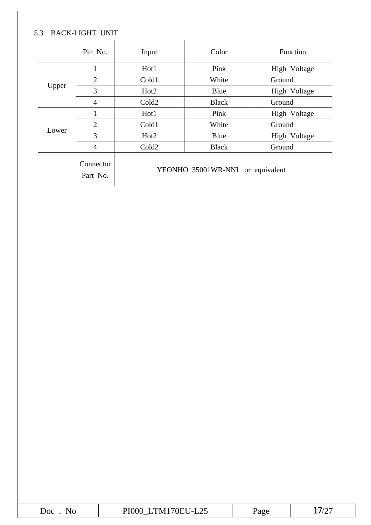# 5.3 BACK-LIGHT UNIT

|       | Pin No.               | Input                            | Color        | Function     |  |  |  |  |  |
|-------|-----------------------|----------------------------------|--------------|--------------|--|--|--|--|--|
|       | $\mathbf{1}$          | Hot1                             | Pink         | High Voltage |  |  |  |  |  |
|       | $\overline{2}$        | Cold1                            | White        | Ground       |  |  |  |  |  |
| Upper | 3                     | Hot <sub>2</sub>                 | Blue         | High Voltage |  |  |  |  |  |
|       | $\overline{4}$        | Cold <sub>2</sub>                | <b>Black</b> | Ground       |  |  |  |  |  |
|       |                       | Hot1                             | Pink         | High Voltage |  |  |  |  |  |
|       | $\overline{2}$        | Cold1                            | White        | Ground       |  |  |  |  |  |
| Lower | 3                     | Hot <sub>2</sub>                 | Blue         | High Voltage |  |  |  |  |  |
|       | $\overline{4}$        | Cold <sub>2</sub>                | <b>Black</b> | Ground       |  |  |  |  |  |
|       | Connector<br>Part No. | YEONHO 35001WR-NNL or equivalent |              |              |  |  |  |  |  |

| $\mathbf{r}$ and $\mathbf{r}$ and $\mathbf{r}$<br>D<br>$\omega$ oc<br>.<br>⊷<br><u>—</u><br>_____ |
|---------------------------------------------------------------------------------------------------|
|---------------------------------------------------------------------------------------------------|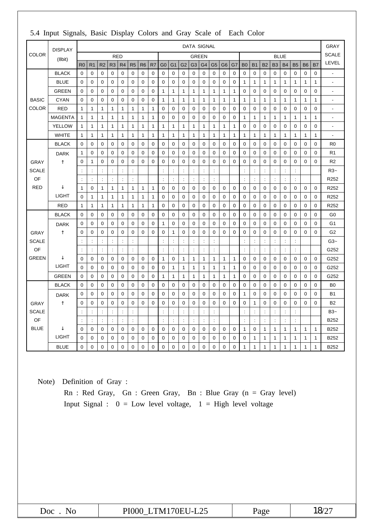|              | <b>DISPLAY</b> |                      |                      |                      |                      |                      |                |                |                |                      |                      |                      | <b>DATA SIGNAL</b>   |                  |                      |                |              |                |                      |                |                      |                      |                      |              |                | <b>GRAY</b>           |
|--------------|----------------|----------------------|----------------------|----------------------|----------------------|----------------------|----------------|----------------|----------------|----------------------|----------------------|----------------------|----------------------|------------------|----------------------|----------------|--------------|----------------|----------------------|----------------|----------------------|----------------------|----------------------|--------------|----------------|-----------------------|
| <b>COLOR</b> | (8bit)         |                      |                      |                      | <b>RED</b>           |                      |                |                |                |                      |                      |                      | <b>GREEN</b>         |                  |                      |                |              |                |                      |                | <b>BLUE</b>          |                      |                      |              |                | <b>SCALE</b>          |
|              |                | R <sub>0</sub>       | R <sub>1</sub>       | R <sub>2</sub>       | R <sub>3</sub>       | R <sub>4</sub>       | R <sub>5</sub> | R <sub>6</sub> | R <sub>7</sub> | G <sub>0</sub>       | G <sub>1</sub>       | G <sub>2</sub>       | G <sub>3</sub>       | G4               | G <sub>5</sub>       | G <sub>6</sub> | G7           | <b>B0</b>      | B <sub>1</sub>       | <b>B2</b>      | B <sub>3</sub>       | <b>B4</b>            | <b>B5</b>            | <b>B6</b>    | <b>B7</b>      | LEVEL                 |
|              | <b>BLACK</b>   | $\mathbf 0$          | 0                    | $\mathbf 0$          | 0                    | 0                    | 0              | $\mathbf 0$    | 0              | $\mathbf 0$          | $\mathbf 0$          | 0                    | $\mathbf 0$          | 0                | $\mathbf 0$          | 0              | 0            | $\mathbf 0$    | 0                    | $\mathbf 0$    | $\mathbf 0$          | 0                    | 0                    | 0            | $\mathbf 0$    |                       |
|              | <b>BLUE</b>    | $\mathbf 0$          | 0                    | 0                    | 0                    | 0                    | 0              | $\mathbf 0$    | 0              | 0                    | $\mathbf 0$          | 0                    | $\mathbf 0$          | 0                | 0                    | $\mathbf 0$    | 0            | 1              | 1                    | 1              | $\mathbf{1}$         | $\mathbf{1}$         | 1                    | $\mathbf{1}$ | $\mathbf{1}$   | $\overline{a}$        |
|              | <b>GREEN</b>   | $\mathbf 0$          | 0                    | 0                    | $\mathbf 0$          | 0                    | 0              | 0              | 0              | $\mathbf{1}$         | 1                    | 1                    | $\mathbf{1}$         | 1                | $\mathbf{1}$         | $\mathbf{1}$   | 1            | $\pmb{0}$      | $\boldsymbol{0}$     | $\mathbf 0$    | 0                    | $\mathbf 0$          | 0                    | $\mathbf 0$  | $\mathbf 0$    | $\blacksquare$        |
| <b>BASIC</b> | <b>CYAN</b>    | $\mathbf 0$          | 0                    | 0                    | 0                    | 0                    | 0              | 0              | 0              | $\mathbf{1}$         | $\mathbf{1}$         | 1                    | $\mathbf{1}$         | 1                | $\mathbf{1}$         | 1              | $\mathbf{1}$ | $\mathbf{1}$   | 1                    | 1              | $\mathbf{1}$         | $\mathbf{1}$         | 1                    | $\mathbf{1}$ | $\mathbf{1}$   | $\tilde{\phantom{a}}$ |
| <b>COLOR</b> | <b>RED</b>     | $\mathbf{1}$         | $\mathbf{1}$         | $\mathbf{1}$         | $\mathbf{1}$         | 1                    | $\mathbf{1}$   | 1              | 1              | $\Omega$             | $\mathbf 0$          | 0                    | $\Omega$             | 0                | 0                    | $\Omega$       | 0            | $\pmb{0}$      | $\boldsymbol{0}$     | 0              | $\boldsymbol{0}$     | 0                    | 0                    | 0            | $\mathbf 0$    | Ĭ.                    |
|              | <b>MAGENTA</b> | 1                    | 1                    | $\mathbf{1}$         | $\mathbf{1}$         | $\mathbf{1}$         | 1              | $\mathbf{1}$   | 1              | 0                    | $\mathbf 0$          | 0                    | 0                    | 0                | 0                    | $\mathbf 0$    | 0            | 1              | 1                    | 1              | $\mathbf{1}$         | $\mathbf{1}$         | 1                    | $\mathbf{1}$ | $\mathbf{1}$   | $\overline{a}$        |
|              | <b>YELLOW</b>  | $\mathbf{1}$         | 1                    | $\mathbf{1}$         | $\mathbf{1}$         | 1                    | $\mathbf{1}$   | $\mathbf{1}$   | 1              | $\mathbf{1}$         | $\mathbf{1}$         | $\mathbf{1}$         | $\mathbf{1}$         | $\mathbf{1}$     | $\mathbf{1}$         | $\mathbf{1}$   | $\mathbf{1}$ | $\mathbf 0$    | $\Omega$             | $\mathbf 0$    | $\Omega$             | $\mathbf 0$          | 0                    | 0            | $\Omega$       | $\overline{a}$        |
|              | <b>WHITE</b>   | 1                    | 1                    | $\mathbf{1}$         | $\mathbf 1$          | 1                    | 1              | $\mathbf{1}$   | 1              | $\mathbf{1}$         | $\mathbf{1}$         | 1                    | $\mathbf{1}$         | 1                | $\mathbf{1}$         | $\mathbf{1}$   | $\mathbf 1$  | 1              | 1                    | 1              | $\mathbf{1}$         | $\mathbf 1$          | 1                    | 1            | $\mathbf 1$    | ÷                     |
|              | <b>BLACK</b>   | $\mathbf 0$          | $\mathbf 0$          | $\mathbf 0$          | $\mathbf 0$          | $\mathbf 0$          | $\mathbf 0$    | $\mathbf 0$    | 0              | $\mathbf 0$          | $\mathbf 0$          | $\mathbf 0$          | $\mathbf 0$          | $\mathbf 0$      | $\mathbf 0$          | $\mathbf{0}$   | $\mathbf 0$  | $\mathbf 0$    | $\mathbf 0$          | $\mathbf 0$    | $\mathbf 0$          | $\mathbf 0$          | $\mathbf 0$          | $\mathbf 0$  | $\mathbf 0$    | R <sub>0</sub>        |
|              | <b>DARK</b>    | $\mathbf{1}$         | 0                    | $\mathbf 0$          | 0                    | 0                    | 0              | $\mathbf 0$    | 0              | 0                    | 0                    | 0                    | 0                    | 0                | 0                    | $\mathbf 0$    | 0            | 0              | 0                    | 0              | $\mathbf 0$          | 0                    | 0                    | 0            | $\mathbf 0$    | R <sub>1</sub>        |
| GRAY         |                | $\mathbf 0$          | 1                    | 0                    | $\mathbf 0$          | 0                    | 0              | $\mathbf 0$    | 0              | $\mathbf 0$          | $\mathbf 0$          | $\mathbf 0$          | $\mathbf 0$          | $\mathbf 0$      | $\mathbf 0$          | 0              | $\mathbf 0$  | $\mathbf 0$    | $\mathbf 0$          | $\mathbf 0$    | $\mathbf 0$          | $\mathbf 0$          | 0                    | $\mathbf 0$  | $\mathbf 0$    | R <sub>2</sub>        |
| <b>SCALE</b> |                | ÷                    | $\ddot{\phantom{a}}$ | $\ddot{\phantom{a}}$ | ÷                    | $\ddot{\phantom{a}}$ | ÷              |                |                | $\ddot{\phantom{a}}$ | $\ddot{\phantom{a}}$ | ÷                    | $\ddot{\phantom{a}}$ | t                | $\ddot{\cdot}$       |                |              | ÷              | $\ddot{\phantom{a}}$ | ÷              | $\ddot{\phantom{a}}$ | $\ddot{\cdot}$       | ÷                    |              |                | $R3-$                 |
| OF           |                | ċ                    | $\ddot{\phantom{a}}$ |                      | t                    | $\ddot{\phantom{a}}$ | ÷              |                |                | ÷                    | $\ddot{\cdot}$       | ÷                    | $\ddot{\phantom{a}}$ | ċ                | $\ddot{\phantom{a}}$ |                |              |                | $\ddot{\phantom{a}}$ | ÷              | ÷                    | $\ddot{\phantom{a}}$ | $\ddot{\phantom{a}}$ |              |                | R252                  |
| <b>RED</b>   |                | $\mathbf{1}$         | 0                    | $\mathbf{1}$         | 1                    | 1                    | $\mathbf{1}$   | 1              | 1              | $\mathbf 0$          | $\mathbf 0$          | 0                    | $\mathbf 0$          | 0                | $\mathbf 0$          | 0              | 0            | $\mathbf 0$    | $\boldsymbol{0}$     | $\mathbf 0$    | $\mathbf 0$          | $\mathbf 0$          | 0                    | $\mathbf 0$  | $\mathbf 0$    | R252                  |
|              | <b>LIGHT</b>   | $\mathbf 0$          | 1                    | $\mathbf{1}$         | $\mathbf{1}$         | 1                    | $\mathbf{1}$   | $\mathbf{1}$   | 1              | $\mathbf 0$          | $\mathbf 0$          | $\boldsymbol{0}$     | $\mathbf 0$          | 0                | 0                    | $\mathbf 0$    | 0            | $\mathbf 0$    | $\mathbf 0$          | $\mathbf 0$    | $\mathbf 0$          | 0                    | $\mathbf 0$          | $\mathbf 0$  | $\mathbf 0$    | R252                  |
|              | <b>RED</b>     | $\mathbf{1}$         | $\mathbf{1}$         | $\mathbf{1}$         | $\mathbf{1}$         | $\mathbf{1}$         | $\mathbf{1}$   | $\mathbf{1}$   | $\mathbf{1}$   | $\mathbf 0$          | $\mathbf 0$          | $\mathbf 0$          | $\mathbf 0$          | $\mathbf 0$      | $\mathbf 0$          | $\mathbf 0$    | $\mathbf 0$  | $\mathbf 0$    | $\overline{0}$       | $\mathbf 0$    | $\mathbf 0$          | $\mathbf 0$          | $\overline{0}$       | $\mathbf 0$  | $\mathbf 0$    | R252                  |
|              | <b>BLACK</b>   | $\mathbf 0$          | 0                    | 0                    | 0                    | 0                    | 0              | $\mathbf 0$    | 0              | $\mathbf 0$          | $\mathbf 0$          | 0                    | $\mathbf 0$          | 0                | 0                    | $\mathbf 0$    | 0            | 0              | 0                    | 0              | 0                    | 0                    | $\mathbf 0$          | 0            | $\mathbf 0$    | G <sub>0</sub>        |
|              | <b>DARK</b>    | $\mathbf 0$          | 0                    | 0                    | $\mathbf 0$          | 0                    | $\mathbf 0$    | $\mathbf 0$    | 0              | $\mathbf{1}$         | $\mathbf 0$          | $\mathbf 0$          | $\mathbf 0$          | $\boldsymbol{0}$ | $\mathbf 0$          | $\mathbf 0$    | $\mathbf 0$  | $\mathbf 0$    | $\mathbf 0$          | $\mathbf 0$    | $\mathbf 0$          | $\mathbf 0$          | $\mathbf 0$          | $\mathbf 0$  | $\mathbf 0$    | G <sub>1</sub>        |
| <b>GRAY</b>  |                | 0                    | 0                    | 0                    | 0                    | 0                    | 0              | 0              | 0              | $\mathbf 0$          | 1                    | 0                    | 0                    | 0                | 0                    | 0              | 0            | $\mathbf 0$    | 0                    | 0              | 0                    | 0                    | 0                    | 0            | $\mathbf 0$    | G <sub>2</sub>        |
| <b>SCALE</b> |                | $\ddot{\phantom{a}}$ | $\ddot{\cdot}$       | $\ddot{\phantom{a}}$ | $\ddot{\cdot}$       | $\ddot{\cdot}$       | $\ddot{\cdot}$ |                |                | $\ddot{\phantom{a}}$ | $\ddot{\cdot}$       | ċ                    | $\ddot{\cdot}$       | ċ                | $\ddot{\cdot}$       |                |              | $\ddot{\cdot}$ | $\ddot{\phantom{a}}$ | $\ddot{\cdot}$ | $\ddot{\phantom{a}}$ | $\ddot{\cdot}$       | $\ddot{\cdot}$       |              |                | $G3-$                 |
| OF           |                | $\ddot{\phantom{a}}$ | $\ddot{\cdot}$       | $\ddot{\phantom{a}}$ | $\ddot{\phantom{a}}$ | $\ddot{\cdot}$       | ÷              |                |                | $\ddot{\phantom{a}}$ | $\ddot{\cdot}$       | $\ddot{\phantom{a}}$ | $\ddot{\phantom{a}}$ | t                | $\ddot{\phantom{a}}$ |                |              | ÷              | $\ddot{\phantom{a}}$ | ÷              | ÷                    | $\ddot{\phantom{a}}$ | $\ddot{\cdot}$       |              |                | G252                  |
| GREEN        |                | $\mathbf 0$          | 0                    | 0                    | 0                    | 0                    | 0              | $\mathbf 0$    | 0              | $\mathbf{1}$         | $\mathbf 0$          | 1                    | $\mathbf{1}$         | 1                | $\mathbf{1}$         | 1              | $\mathbf{1}$ | 0              | 0                    | 0              | 0                    | $\mathbf 0$          | 0                    | 0            | $\mathbf 0$    | G252                  |
|              | <b>LIGHT</b>   | $\mathbf 0$          | 0                    | 0                    | 0                    | 0                    | 0              | $\mathbf 0$    | 0              | 0                    | 1                    | 1                    | $\mathbf{1}$         | 1                | $\mathbf{1}$         | 1              | 1            | $\mathbf 0$    | 0                    | 0              | $\mathbf 0$          | 0                    | $\pmb{0}$            | 0            | $\mathbf 0$    | G252                  |
|              | <b>GREEN</b>   | $\Omega$             | 0                    | 0                    | 0                    | 0                    | 0              | $\mathbf 0$    | 0              | $\mathbf{1}$         | $\mathbf{1}$         | 1                    | $\mathbf{1}$         | 1                | $\mathbf{1}$         | $\mathbf{1}$   | $\mathbf{1}$ | $\Omega$       | 0                    | $\mathbf 0$    | $\mathbf 0$          | 0                    | $\mathbf 0$          | $\mathbf 0$  | $\mathbf 0$    | G252                  |
|              | <b>BLACK</b>   | $\Omega$             | $\mathbf 0$          | 0                    | $\mathbf 0$          | $\mathbf 0$          | 0              | $\mathbf 0$    | 0              | $\Omega$             | $\mathbf 0$          | $\mathbf 0$          | $\mathbf 0$          | $\mathbf 0$      | $\Omega$             | $\Omega$       | $\mathbf 0$  | $\mathbf 0$    | $\mathbf 0$          | $\mathbf 0$    | $\mathbf 0$          | $\mathbf 0$          | $\mathbf 0$          | $\mathbf 0$  | $\mathbf 0$    | B <sub>0</sub>        |
|              | <b>DARK</b>    | 0                    | $\mathbf 0$          | $\mathbf 0$          | $\mathbf 0$          | 0                    | 0              | $\mathbf 0$    | 0              | 0                    | 0                    | 0                    | 0                    | 0                | 0                    | 0              | 0            | 1              | 0                    | $\mathbf 0$    | $\mathbf 0$          | $\mathbf 0$          | 0                    | 0            | $\mathbf 0$    | <b>B1</b>             |
| GRAY         |                | $\mathbf 0$          | 0                    | $\mathbf 0$          | $\mathbf 0$          | 0                    | $\mathbf 0$    | $\mathbf 0$    | 0              | $\mathbf 0$          | $\mathbf 0$          | $\mathbf 0$          | $\mathbf 0$          | $\mathbf 0$      | $\Omega$             | $\Omega$       | $\mathbf 0$  | $\mathbf 0$    | $\mathbf{1}$         | $\mathbf 0$    | $\mathbf 0$          | $\mathbf 0$          | 0                    | $\mathbf 0$  | $\mathbf 0$    | <b>B2</b>             |
| <b>SCALE</b> |                | ÷                    | $\ddot{\cdot}$       | $\ddot{\phantom{a}}$ | ÷                    | $\ddot{\cdot}$       | ÷              |                |                | $\ddot{\phantom{a}}$ | $\ddot{\cdot}$       | ÷                    | $\ddot{\phantom{a}}$ | ÷                | $\ddot{\cdot}$       |                |              | ÷              | $\ddot{\phantom{a}}$ | t              | $\ddot{\phantom{a}}$ | $\ddot{\cdot}$       | $\ddot{\phantom{a}}$ |              |                | $B3-$                 |
| OF           |                | $\ddot{\phantom{a}}$ | $\ddot{\phantom{a}}$ | $\ddot{\phantom{a}}$ | $\ddot{\phantom{a}}$ | $\ddot{\cdot}$       | ÷              |                |                | $\ddot{\phantom{a}}$ | $\ddot{\cdot}$       | ÷                    | $\ddot{\phantom{a}}$ | ÷                | ÷                    |                |              | ÷              | $\ddot{\phantom{a}}$ | $\ddot{\cdot}$ | $\ddot{\phantom{a}}$ | $\colon$             | ÷                    |              |                | B252                  |
| <b>BLUE</b>  |                | 0                    | 0                    | 0                    | 0                    | 0                    | 0              | 0              | 0              | 0                    | 0                    | 0                    | 0                    | 0                | 0                    | 0              | 0            | $\mathbf{1}$   | 0                    | 1              | 1                    | 1                    | 1                    | 1            | $\mathbf{1}$   | B252                  |
|              | <b>LIGHT</b>   | $\mathbf 0$          | 0                    | 0                    | $\mathbf 0$          | 0                    | 0              | $\mathbf 0$    | 0              | $\mathbf 0$          | $\mathbf 0$          | $\mathbf 0$          | $\mathbf 0$          | 0                | $\mathbf 0$          | 0              | 0            | $\mathbf 0$    | $\mathbf{1}$         | 1              | $\mathbf{1}$         | $\mathbf{1}$         | 1                    | $\mathbf{1}$ | $\mathbf{1}$   | B252                  |
|              | <b>BLUE</b>    | $\mathbf 0$          | 0                    | $\overline{0}$       | $\mathbf 0$          | 0                    | $\mathbf 0$    | $\mathbf 0$    | 0              | $\mathbf 0$          | $\mathbf 0$          | $\boldsymbol{0}$     | $\overline{0}$       | 0                | 0                    | $\mathbf 0$    | 0            | 1              | 1                    | 1              | 1                    | $\mathbf{1}$         | 1                    | $\mathbf{1}$ | $\overline{1}$ | B252                  |

# 5.4 Input Signals, Basic Display Colors and Gray Scale of Each Color

Note) Definition of Gray :

Rn : Red Gray, Gn : Green Gray, Bn : Blue Gray (n = Gray level) Input Signal :  $0 = Low$  level voltage,  $1 = High$  level voltage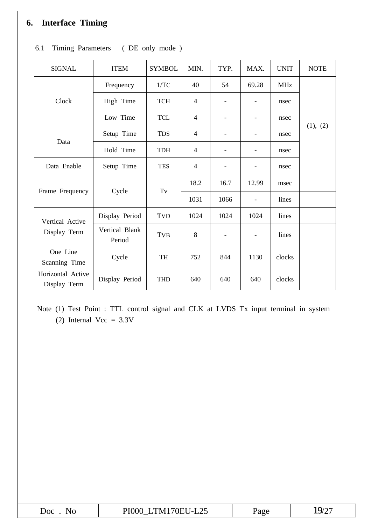# **6. Interface Timing**

| <b>SIGNAL</b>                     | <b>ITEM</b>              | <b>SYMBOL</b> | MIN.           | TYP.                     | MAX.                     | <b>UNIT</b> | <b>NOTE</b> |  |  |
|-----------------------------------|--------------------------|---------------|----------------|--------------------------|--------------------------|-------------|-------------|--|--|
|                                   | Frequency                | 1/TC          | 40             | 54                       | 69.28                    | <b>MHz</b>  |             |  |  |
| Clock                             | High Time                | <b>TCH</b>    | $\overline{4}$ |                          | $\overline{\phantom{a}}$ | nsec        |             |  |  |
|                                   | Low Time                 | <b>TCL</b>    | $\overline{4}$ |                          | -                        | nsec        |             |  |  |
| Data                              | Setup Time               | <b>TDS</b>    | 4              | $\overline{\phantom{a}}$ | $\overline{\phantom{a}}$ | nsec        | (1), (2)    |  |  |
|                                   | Hold Time                | <b>TDH</b>    | 4              | $\overline{\phantom{a}}$ | $\overline{\phantom{a}}$ | nsec        |             |  |  |
| Data Enable                       | Setup Time               | <b>TES</b>    | 4              | $\blacksquare$           | ۰                        | nsec        |             |  |  |
|                                   |                          |               | 18.2           | 16.7                     | 12.99                    | msec        |             |  |  |
| Frame Frequency                   | Cycle                    | Tv            | 1031           | 1066                     | $\blacksquare$           | lines       |             |  |  |
| Vertical Active                   | Display Period           | TVD           | 1024           | 1024                     | 1024                     | lines       |             |  |  |
| Display Term                      | Vertical Blank<br>Period | <b>TVB</b>    | 8              | $\blacksquare$           | $\overline{\phantom{a}}$ | lines       |             |  |  |
| One Line<br>Scanning Time         | Cycle                    | TH            | 752            | 844                      | 1130                     | clocks      |             |  |  |
| Horizontal Active<br>Display Term | Display Period           | <b>THD</b>    | 640            | 640                      | 640                      | clocks      |             |  |  |

# 6.1 Timing Parameters ( DE only mode )

Note (1) Test Point : TTL control signal and CLK at LVDS Tx input terminal in system (2) Internal Vcc =  $3.3V$ 

| Doc<br>N. | TM170EU-L25<br><b>PI000</b><br>ت کا سا<br>$\sim$ $\sim$ $\sim$ $\sim$ $\sim$ $\sim$ | 'age | $\cdot$ O/ $\sim$ |
|-----------|-------------------------------------------------------------------------------------|------|-------------------|
|-----------|-------------------------------------------------------------------------------------|------|-------------------|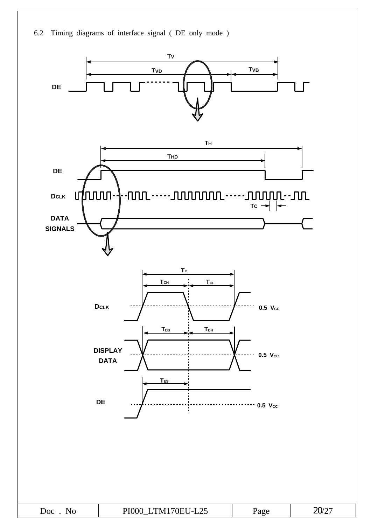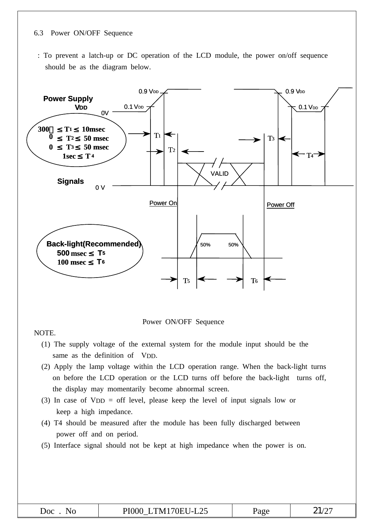#### 6.3 Power ON/OFF Sequence

: To prevent a latch-up or DC operation of the LCD module, the power on/off sequence should be as the diagram below.



Power ON/OFF Sequence

NOTE.

- (1) The supply voltage of the external system for the module input should be the same as the definition of VDD.
- (2) Apply the lamp voltage within the LCD operation range. When the back-light turns on before the LCD operation or the LCD turns off before the back-light turns off, the display may momentarily become abnormal screen.
- (3) In case of VDD = off level, please keep the level of input signals low or keep a high impedance.
- (4) T4 should be measured after the module has been fully discharged between power off and on period.
- (5) Interface signal should not be kept at high impedance when the power is on.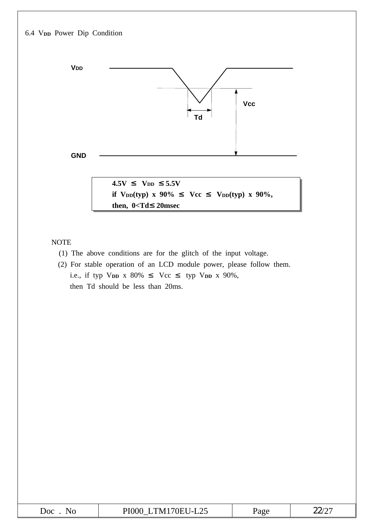

NOTE

- (1) The above conditions are for the glitch of the input voltage.
- (2) For stable operation of an LCD module power, please follow them. i.e., if typ V<sub>DD</sub> x 80% Vcc typ V<sub>DD</sub> x 90%, then Td should be less than 20ms.

| $\lambda$ = $\lambda$ = $\lambda$ = $\lambda$ =<br>. в<br><b>JOC</b><br>$\sqrt{ }$<br>. .<br>NI 1<br>.<br>⊷<br>$\sim$<br>____ | 90C | w |
|-------------------------------------------------------------------------------------------------------------------------------|-----|---|
|-------------------------------------------------------------------------------------------------------------------------------|-----|---|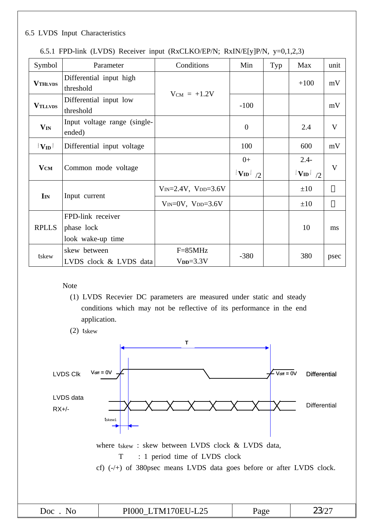## 6.5 LVDS Input Characteristics

| Symbol                     | Parameter                              | Conditions                        | Min                   | Typ | Max                             | unit         |
|----------------------------|----------------------------------------|-----------------------------------|-----------------------|-----|---------------------------------|--------------|
| <b>VTHLVDS</b>             | Differential input high<br>threshold   | $V_{CM}$ = +1.2V                  |                       |     | $+100$                          | mV           |
| <b>VTLLVDS</b>             | Differential input low<br>threshold    |                                   | $-100$                |     |                                 | mV           |
| $\mathbf{V}_{\mathbf{IN}}$ | Input voltage range (single-<br>ended) |                                   | $\mathbf{0}$          |     | 2.4                             | $\mathbf{V}$ |
| $ \mathbf{V_{ID}} $        | Differential input voltage             |                                   | 100                   |     | 600                             | mV           |
| $\mathbf{V}_{\mathbf{CM}}$ | Common mode voltage                    |                                   | $0+$<br>$ V_{ID} $ /2 |     | $2.4 -$<br>$ V_{\text{ID}} $ /2 | V            |
|                            |                                        | $V_{IN} = 2.4V$ , $V_{DD} = 3.6V$ |                       |     | $\pm 10$                        |              |
| $\mathbf{I}_{IN}$          | Input current                          | $V_{IN}=0V$ , $V_{DD}=3.6V$       |                       |     | $\pm 10$                        |              |
|                            | FPD-link receiver                      |                                   |                       |     |                                 |              |
| <b>RPLLS</b>               | phase lock                             |                                   |                       |     | 10                              | ms           |
|                            | look wake-up time                      |                                   |                       |     |                                 |              |
| tskew                      | skew between                           | $F=85MHz$                         | $-380$                |     | 380                             | psec         |
|                            | LVDS clock & LVDS data                 | $VDD=3.3V$                        |                       |     |                                 |              |

|  |  | 6.5.1 FPD-link (LVDS) Receiver input (RxCLKO/EP/N; RxIN/E[y]P/N, y=0,1,2,3) |  |
|--|--|-----------------------------------------------------------------------------|--|
|  |  |                                                                             |  |

### Note

- (1) LVDS Recevier DC parameters are measured under static and steady conditions which may not be reflective of its performance in the end application.
- (2) tskew

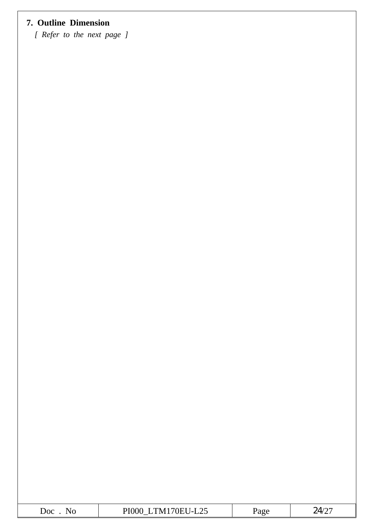# **7. Outline Dimension**

*[ Refer to the next page ]*

| Doc.<br>NO | $\sim$ $\sim$<br>74.<br>`'N⁄ı<br>.<br>$1 - 1$<br>ر ے ب | ባ ጥረ<br>$-$<br><b>-</b> | $\mathcal{A}/\mathcal{D}^-$<br>∼<br>. پ |
|------------|--------------------------------------------------------|-------------------------|-----------------------------------------|
|            |                                                        |                         |                                         |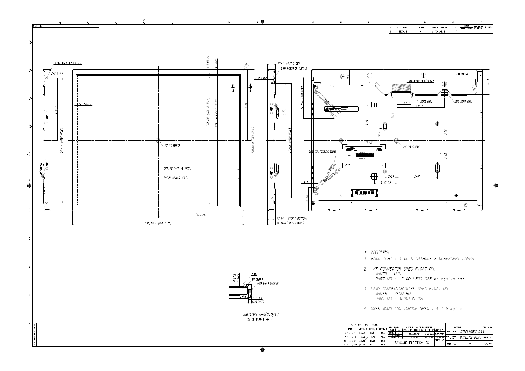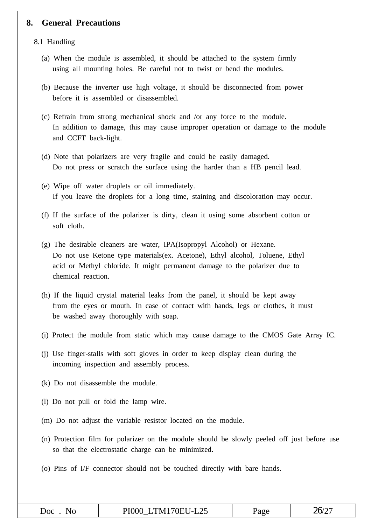### **8. General Precautions**

8.1 Handling

- (a) When the module is assembled, it should be attached to the system firmly using all mounting holes. Be careful not to twist or bend the modules.
- (b) Because the inverter use high voltage, it should be disconnected from power before it is assembled or disassembled.
- (c) Refrain from strong mechanical shock and /or any force to the module. In addition to damage, this may cause improper operation or damage to the module and CCFT back-light.
- (d) Note that polarizers are very fragile and could be easily damaged. Do not press or scratch the surface using the harder than a HB pencil lead.
- (e) Wipe off water droplets or oil immediately. If you leave the droplets for a long time, staining and discoloration may occur.
- (f) If the surface of the polarizer is dirty, clean it using some absorbent cotton or soft cloth.
- (g) The desirable cleaners are water, IPA(Isopropyl Alcohol) or Hexane. Do not use Ketone type materials(ex. Acetone), Ethyl alcohol, Toluene, Ethyl acid or Methyl chloride. It might permanent damage to the polarizer due to chemical reaction.
- (h) If the liquid crystal material leaks from the panel, it should be kept away from the eyes or mouth. In case of contact with hands, legs or clothes, it must be washed away thoroughly with soap.
- (i) Protect the module from static which may cause damage to the CMOS Gate Array IC.
- (j) Use finger-stalls with soft gloves in order to keep display clean during the incoming inspection and assembly process.
- (k) Do not disassemble the module.
- (l) Do not pull or fold the lamp wire.
- (m) Do not adjust the variable resistor located on the module.
- (n) Protection film for polarizer on the module should be slowly peeled off just before use so that the electrostatic charge can be minimized.
- (o) Pins of I/F connector should not be touched directly with bare hands.

| .) $\alpha$<br>$\mathbf{N}$ | PI000 LTM170EU-L25 | Page | 2C/2 |
|-----------------------------|--------------------|------|------|
|-----------------------------|--------------------|------|------|